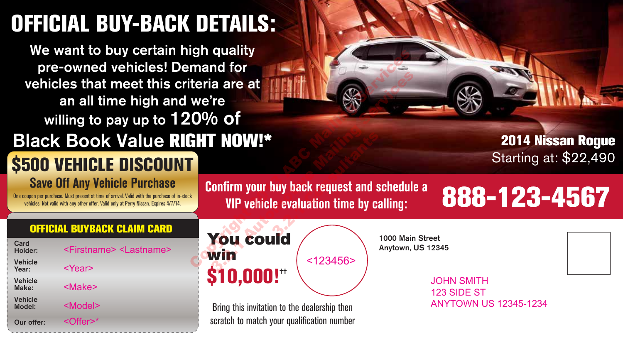## **OFFICIAL BUY-BACK DETAILS:**

We want to buy certain high quality pre-owned vehicles! Demand for vehicles that meet this criteria are at an all time high and we're willing to pay up to 120% of Black Book Value **RIGHT NOW!\***

### **\$500 VEHICLE DISCOUNT Save Off Any Vehicle Purchase**

One coupon per purchase. Must present at time of arrival. Valid with the purchase of in-stock vehicles. Not valid with any other offer. Valid only at Perry Nissan. Expires 4/7/14.

**Confirm your buy back request and schedule a** VIP vehicle evaluation time by calling:

**2014 Nissan Rogue** Starting at: \$22,490

# **VIP vehicle evaluation time by calling: 888-123-4567**

#### **OFFICIAL BUYBACK CLAIM CARD**

| Card<br>Holder:          | <firstname> <lastname></lastname></firstname> |
|--------------------------|-----------------------------------------------|
| <b>Vehicle</b><br>Year:  | <year></year>                                 |
| <b>Vehicle</b><br>Make:  | <make></make>                                 |
| <b>Vehicle</b><br>Model: | <model></model>                               |
| Our offer:               | $<$ Offer $>^*$                               |



Bring this invitation to the dealership then scratch to match your qualification number 1000 Main Street Anytown, US 12345

JOHN SMITH 123 SIDE ST ANYTOWN US 12345-1234